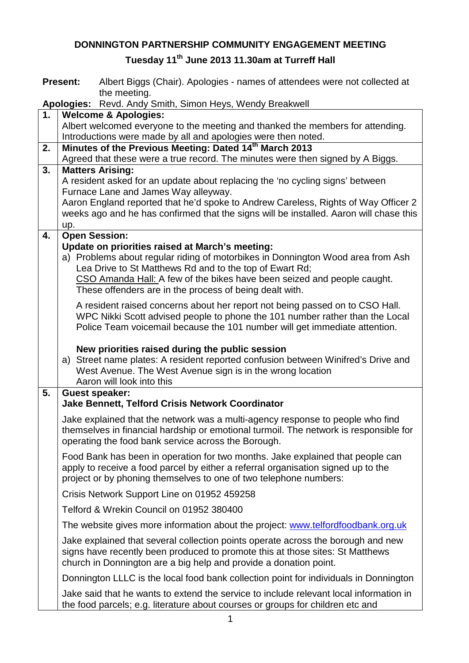## **DONNINGTON PARTNERSHIP COMMUNITY ENGAGEMENT MEETING**

## **Tuesday 11th June 2013 11.30am at Turreff Hall**

|                                                                          | <b>Present:</b><br>Albert Biggs (Chair). Apologies - names of attendees were not collected at                                                                                                                                            |  |  |
|--------------------------------------------------------------------------|------------------------------------------------------------------------------------------------------------------------------------------------------------------------------------------------------------------------------------------|--|--|
| the meeting.<br>Apologies: Revd. Andy Smith, Simon Heys, Wendy Breakwell |                                                                                                                                                                                                                                          |  |  |
| 1.<br><b>Welcome &amp; Apologies:</b>                                    |                                                                                                                                                                                                                                          |  |  |
|                                                                          | Albert welcomed everyone to the meeting and thanked the members for attending.                                                                                                                                                           |  |  |
|                                                                          | Introductions were made by all and apologies were then noted.                                                                                                                                                                            |  |  |
| 2.                                                                       | Minutes of the Previous Meeting: Dated 14th March 2013                                                                                                                                                                                   |  |  |
|                                                                          | Agreed that these were a true record. The minutes were then signed by A Biggs.                                                                                                                                                           |  |  |
| 3.                                                                       | <b>Matters Arising:</b>                                                                                                                                                                                                                  |  |  |
|                                                                          | A resident asked for an update about replacing the 'no cycling signs' between                                                                                                                                                            |  |  |
|                                                                          | Furnace Lane and James Way alleyway.<br>Aaron England reported that he'd spoke to Andrew Careless, Rights of Way Officer 2                                                                                                               |  |  |
|                                                                          | weeks ago and he has confirmed that the signs will be installed. Aaron will chase this                                                                                                                                                   |  |  |
|                                                                          | up.                                                                                                                                                                                                                                      |  |  |
| 4.                                                                       | <b>Open Session:</b>                                                                                                                                                                                                                     |  |  |
|                                                                          | Update on priorities raised at March's meeting:                                                                                                                                                                                          |  |  |
|                                                                          | a) Problems about regular riding of motorbikes in Donnington Wood area from Ash                                                                                                                                                          |  |  |
|                                                                          | Lea Drive to St Matthews Rd and to the top of Ewart Rd;                                                                                                                                                                                  |  |  |
|                                                                          | CSO Amanda Hall: A few of the bikes have been seized and people caught.                                                                                                                                                                  |  |  |
|                                                                          | These offenders are in the process of being dealt with.                                                                                                                                                                                  |  |  |
|                                                                          | A resident raised concerns about her report not being passed on to CSO Hall.                                                                                                                                                             |  |  |
|                                                                          | WPC Nikki Scott advised people to phone the 101 number rather than the Local                                                                                                                                                             |  |  |
|                                                                          | Police Team voicemail because the 101 number will get immediate attention.                                                                                                                                                               |  |  |
|                                                                          | New priorities raised during the public session<br>a) Street name plates: A resident reported confusion between Winifred's Drive and<br>West Avenue. The West Avenue sign is in the wrong location                                       |  |  |
|                                                                          | Aaron will look into this                                                                                                                                                                                                                |  |  |
| 5.                                                                       | <b>Guest speaker:</b><br><b>Jake Bennett, Telford Crisis Network Coordinator</b>                                                                                                                                                         |  |  |
|                                                                          |                                                                                                                                                                                                                                          |  |  |
|                                                                          | Jake explained that the network was a multi-agency response to people who find<br>themselves in financial hardship or emotional turmoil. The network is responsible for<br>operating the food bank service across the Borough.           |  |  |
|                                                                          | Food Bank has been in operation for two months. Jake explained that people can<br>apply to receive a food parcel by either a referral organisation signed up to the<br>project or by phoning themselves to one of two telephone numbers: |  |  |
|                                                                          | Crisis Network Support Line on 01952 459258                                                                                                                                                                                              |  |  |
|                                                                          | Telford & Wrekin Council on 01952 380400                                                                                                                                                                                                 |  |  |
|                                                                          | The website gives more information about the project: www.telfordfoodbank.org.uk                                                                                                                                                         |  |  |
|                                                                          | Jake explained that several collection points operate across the borough and new<br>signs have recently been produced to promote this at those sites: St Matthews<br>church in Donnington are a big help and provide a donation point.   |  |  |
|                                                                          | Donnington LLLC is the local food bank collection point for individuals in Donnington                                                                                                                                                    |  |  |
|                                                                          | Jake said that he wants to extend the service to include relevant local information in<br>the food parcels; e.g. literature about courses or groups for children etc and                                                                 |  |  |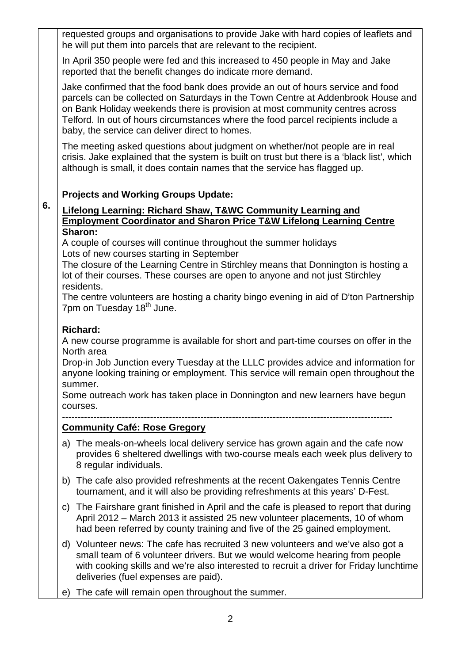|    |                                                                                                                                                                                                                                                                                                                                                                                                          | requested groups and organisations to provide Jake with hard copies of leaflets and<br>he will put them into parcels that are relevant to the recipient.                                                                                                                                                                                                                                   |  |  |
|----|----------------------------------------------------------------------------------------------------------------------------------------------------------------------------------------------------------------------------------------------------------------------------------------------------------------------------------------------------------------------------------------------------------|--------------------------------------------------------------------------------------------------------------------------------------------------------------------------------------------------------------------------------------------------------------------------------------------------------------------------------------------------------------------------------------------|--|--|
|    | In April 350 people were fed and this increased to 450 people in May and Jake<br>reported that the benefit changes do indicate more demand.                                                                                                                                                                                                                                                              |                                                                                                                                                                                                                                                                                                                                                                                            |  |  |
|    |                                                                                                                                                                                                                                                                                                                                                                                                          | Jake confirmed that the food bank does provide an out of hours service and food<br>parcels can be collected on Saturdays in the Town Centre at Addenbrook House and<br>on Bank Holiday weekends there is provision at most community centres across<br>Telford. In out of hours circumstances where the food parcel recipients include a<br>baby, the service can deliver direct to homes. |  |  |
|    |                                                                                                                                                                                                                                                                                                                                                                                                          | The meeting asked questions about judgment on whether/not people are in real<br>crisis. Jake explained that the system is built on trust but there is a 'black list', which<br>although is small, it does contain names that the service has flagged up.                                                                                                                                   |  |  |
|    | <b>Projects and Working Groups Update:</b>                                                                                                                                                                                                                                                                                                                                                               |                                                                                                                                                                                                                                                                                                                                                                                            |  |  |
| 6. | Lifelong Learning: Richard Shaw, T&WC Community Learning and<br><b>Employment Coordinator and Sharon Price T&amp;W Lifelong Learning Centre</b>                                                                                                                                                                                                                                                          |                                                                                                                                                                                                                                                                                                                                                                                            |  |  |
|    | Sharon:<br>A couple of courses will continue throughout the summer holidays<br>Lots of new courses starting in September                                                                                                                                                                                                                                                                                 |                                                                                                                                                                                                                                                                                                                                                                                            |  |  |
|    | The closure of the Learning Centre in Stirchley means that Donnington is hosting a<br>lot of their courses. These courses are open to anyone and not just Stirchley<br>residents.                                                                                                                                                                                                                        |                                                                                                                                                                                                                                                                                                                                                                                            |  |  |
|    | The centre volunteers are hosting a charity bingo evening in aid of D'ton Partnership<br>7pm on Tuesday 18 <sup>th</sup> June.                                                                                                                                                                                                                                                                           |                                                                                                                                                                                                                                                                                                                                                                                            |  |  |
|    | <b>Richard:</b><br>A new course programme is available for short and part-time courses on offer in the<br>North area<br>Drop-in Job Junction every Tuesday at the LLLC provides advice and information for<br>anyone looking training or employment. This service will remain open throughout the<br>summer.<br>Some outreach work has taken place in Donnington and new learners have begun<br>courses. |                                                                                                                                                                                                                                                                                                                                                                                            |  |  |
|    | <b>Community Café: Rose Gregory</b>                                                                                                                                                                                                                                                                                                                                                                      |                                                                                                                                                                                                                                                                                                                                                                                            |  |  |
|    |                                                                                                                                                                                                                                                                                                                                                                                                          | a) The meals-on-wheels local delivery service has grown again and the cafe now<br>provides 6 sheltered dwellings with two-course meals each week plus delivery to<br>8 regular individuals.                                                                                                                                                                                                |  |  |
|    |                                                                                                                                                                                                                                                                                                                                                                                                          | b) The cafe also provided refreshments at the recent Oakengates Tennis Centre<br>tournament, and it will also be providing refreshments at this years' D-Fest.                                                                                                                                                                                                                             |  |  |
|    | C)                                                                                                                                                                                                                                                                                                                                                                                                       | The Fairshare grant finished in April and the cafe is pleased to report that during<br>April 2012 – March 2013 it assisted 25 new volunteer placements, 10 of whom<br>had been referred by county training and five of the 25 gained employment.                                                                                                                                           |  |  |
|    |                                                                                                                                                                                                                                                                                                                                                                                                          | d) Volunteer news: The cafe has recruited 3 new volunteers and we've also got a<br>small team of 6 volunteer drivers. But we would welcome hearing from people<br>with cooking skills and we're also interested to recruit a driver for Friday lunchtime<br>deliveries (fuel expenses are paid).                                                                                           |  |  |
|    | e)                                                                                                                                                                                                                                                                                                                                                                                                       | The cafe will remain open throughout the summer.                                                                                                                                                                                                                                                                                                                                           |  |  |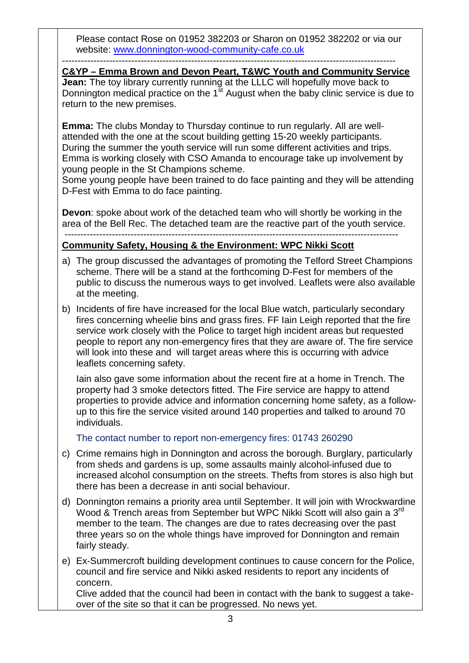Please contact Rose on 01952 382203 or Sharon on 01952 382202 or via our website: [www.donnington-wood-community-cafe.co.uk](http://www.donnington-wood-community-cafe.co.uk/)

----------------------------------------------------------------------------------------------------------

**Jean:** The toy library currently running at the LLLC will hopefully move back to Donnington medical practice on the  $1<sup>st</sup>$  August when the baby clinic service is due to return to the new premises. **C&YP – Emma Brown and Devon Peart, T&WC Youth and Community Service**

**Emma:** The clubs Monday to Thursday continue to run regularly. All are wellattended with the one at the scout building getting 15-20 weekly participants. During the summer the youth service will run some different activities and trips. Emma is working closely with CSO Amanda to encourage take up involvement by young people in the St Champions scheme.

Some young people have been trained to do face painting and they will be attending D-Fest with Emma to do face painting.

**Devon**: spoke about work of the detached team who will shortly be working in the area of the Bell Rec. The detached team are the reactive part of the youth service.

## ---------------------------------------------------------------------------------------------------------- **Community Safety, Housing & the Environment: WPC Nikki Scott**

- a) The group discussed the advantages of promoting the Telford Street Champions scheme. There will be a stand at the forthcoming D-Fest for members of the public to discuss the numerous ways to get involved. Leaflets were also available at the meeting.
- b) Incidents of fire have increased for the local Blue watch, particularly secondary fires concerning wheelie bins and grass fires. FF Iain Leigh reported that the fire service work closely with the Police to target high incident areas but requested people to report any non-emergency fires that they are aware of. The fire service will look into these and will target areas where this is occurring with advice leaflets concerning safety.

Iain also gave some information about the recent fire at a home in Trench. The property had 3 smoke detectors fitted. The Fire service are happy to attend properties to provide advice and information concerning home safety, as a followup to this fire the service visited around 140 properties and talked to around 70 individuals.

The contact number to report non-emergency fires: 01743 260290

- c) Crime remains high in Donnington and across the borough. Burglary, particularly from sheds and gardens is up, some assaults mainly alcohol-infused due to increased alcohol consumption on the streets. Thefts from stores is also high but there has been a decrease in anti social behaviour.
- d) Donnington remains a priority area until September. It will join with Wrockwardine Wood & Trench areas from September but WPC Nikki Scott will also gain a 3<sup>rd</sup> member to the team. The changes are due to rates decreasing over the past three years so on the whole things have improved for Donnington and remain fairly steady.
- e) Ex-Summercroft building development continues to cause concern for the Police, council and fire service and Nikki asked residents to report any incidents of concern.

Clive added that the council had been in contact with the bank to suggest a takeover of the site so that it can be progressed. No news yet.